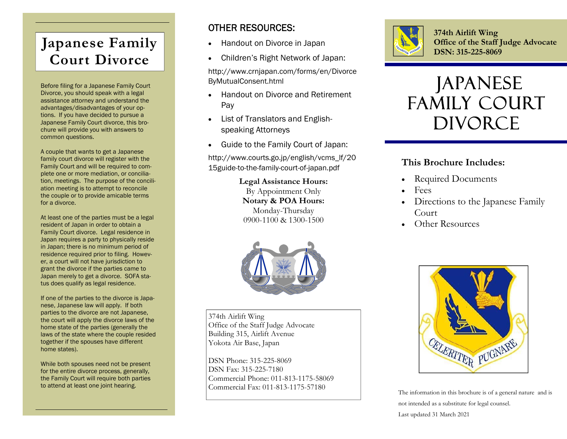# **Japanese Family Court Divorce**

Before filing for a Japanese Family Court Divorce, you should speak with a legal assistance attorney and understand the advantages/disadvantages of your options. If you have decided to pursue a Japanese Family Court divorce, this brochure will provide you with answers to common questions.

A couple that wants to get a Japanese family court divorce will register with the Family Court and will be required to complete one or more mediation, or conciliation, meetings. The purpose of the conciliation meeting is to attempt to reconcile the couple or to provide amicable terms for a divorce.

At least one of the parties must be a legal resident of Japan in order to obtain a Family Court divorce. Legal residence in Japan requires a party to physically reside in Japan; there is no minimum period of residence required prior to filing. However, a court will not have jurisdiction to grant the divorce if the parties came to Japan merely to get a divorce. SOFA status does qualify as legal residence.

If one of the parties to the divorce is Japanese, Japanese law will apply. If both parties to the divorce are not Japanese, the court will apply the divorce laws of the home state of the parties (generally the laws of the state where the couple resided together if the spouses have different home states).

While both spouses need not be present for the entire divorce process, generally, the Family Court will require both parties to attend at least one joint hearing.

### OTHER RESOURCES:

- $\bullet$ Handout on Divorce in Japan
- $\bullet$ Children's Right Network of Japan:

http://www.crnjapan.com/forms/en/Divorce ByMutualConsent.html

- $\bullet$  Handout on Divorce and Retirement Pay
- $\bullet$  List of Translators and Englishspeaking Attorneys
- $\bullet$ Guide to the Family Court of Japan:

http://www.courts.go.jp/english/vcms\_lf/20 15guide-to-the-family-court-of-japan.pdf

> **Legal Assistance Hours:**  By Appointment Only **Notary & POA Hours:**  Monday-Thursday 0900-1100 & 1300-1500



374th Airlift Wing Office of the Staff Judge Advocate Building 315, Airlift Avenue Yokota Air Base, Japan

DSN Phone: 315-225-8069 DSN Fax: 315-225-7180 Commercial Phone: 011-813-1175-58069 Commercial Fax: 011-813-1175-57180



**374th Airlift Wing Office of the Staff Judge Advocate DSN: 315-225-8069** 

# Japanese Family Court **DIVORCE**

#### **This Brochure Includes:**

- . Required Documents
- $\bullet$ Fees
- . Directions to the Japanese Family Court
- Other Resources



The information in this brochure is of a general nature and is not intended as a substitute for legal counsel. Last updated 31 March 2021